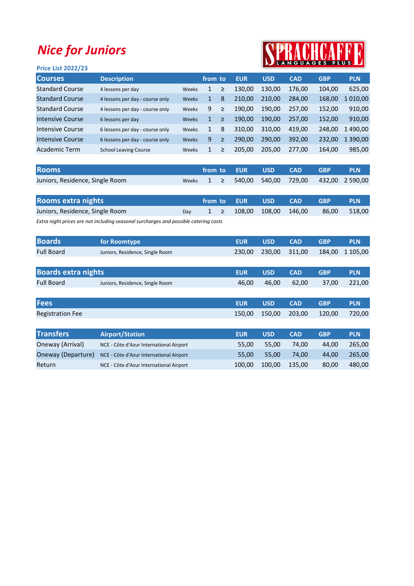## Nice for Juniors

## PRACHCARF

| <b>Price List 2022/23</b> |                                 |              |              |   | IN LANGUAGES FLUS LA |            |            |            |            |
|---------------------------|---------------------------------|--------------|--------------|---|----------------------|------------|------------|------------|------------|
| <b>Courses</b>            | <b>Description</b>              |              | from to      |   | <b>EUR</b>           | <b>USD</b> | <b>CAD</b> | <b>GBP</b> | <b>PLN</b> |
| <b>Standard Course</b>    | 4 lessons per day               | Weeks        | 1            | ≥ | 130,00               | 130,00     | 176,00     | 104,00     | 625,00     |
| <b>Standard Course</b>    | 4 lessons per day - course only | <b>Weeks</b> | 1            | 8 | 210.00               | 210.00     | 284,00     | 168,00     | 1 010,00   |
| <b>Standard Course</b>    | 4 lessons per day - course only | Weeks        | 9            | ≥ | 190,00               | 190.00     | 257.00     | 152,00     | 910,00     |
| Intensive Course          | 6 lessons per day               | <b>Weeks</b> | $\mathbf{1}$ | ≥ | 190,00               | 190,00     | 257,00     | 152,00     | 910,00     |
| Intensive Course          | 6 lessons per day - course only | Weeks        | $\mathbf{1}$ | 8 | 310,00               | 310.00     | 419,00     | 248,00     | 1490,00    |
| Intensive Course          | 6 lessons per day - course only | <b>Weeks</b> | 9            | ≥ | 290.00               | 290.00     | 392,00     | 232,00     | 1 390,00   |
| Academic Term             | <b>School Leaving Course</b>    | Weeks        | $\mathbf{1}$ | ≥ | 205,00               | 205,00     | 277,00     | 164,00     | 985,00     |
|                           |                                 |              |              |   |                      |            |            |            |            |

| <b>Rooms</b>                    |  |  | from to EUR USD CAD |                                                     | <b>GBP</b> | <b>PLN</b> |
|---------------------------------|--|--|---------------------|-----------------------------------------------------|------------|------------|
| Juniors, Residence, Single Room |  |  |                     | Weeks $1 \geq 540,00$ 540,00 729,00 432,00 2 590,00 |            |            |

| <b>Rooms extra nights</b>              |  | from to EUR USD CAD                       |  | <b>GBP</b>   | <b>PLN</b> |
|----------------------------------------|--|-------------------------------------------|--|--------------|------------|
| Juniors, Residence, Single Room<br>Dav |  | $1 \geq 108,00 \quad 108,00 \quad 146,00$ |  | 86.00 518.00 |            |

Extra night prices are not including seasonal surcharges and possible catering costs

| <b>Boards</b>     | for Roomtype                    | <b>FUR</b> | <b>USD</b>    | <b>CAD</b> | <b>GBP</b> | <b>PLN</b>      |
|-------------------|---------------------------------|------------|---------------|------------|------------|-----------------|
| <b>Full Board</b> | Juniors, Residence, Single Room | 230.00     | 230.00 311.00 |            |            | 184,00 1 105,00 |

| <b>Boards extra nights</b> |                                 | <b>EUR</b> | <b>USD</b> | <b>CAD</b> | <b>GBP</b> | <b>PLN</b> |
|----------------------------|---------------------------------|------------|------------|------------|------------|------------|
| <b>Full Board</b>          | Juniors, Residence, Single Room | 46.00      | 46.00      | 62.00      | 37.00      | 221.00     |
|                            |                                 |            |            |            |            |            |

| <b>Fees</b>             | <b>EUR</b> | USD CAD | <b>SACTO GBP</b>                   | <b>PLN</b> |
|-------------------------|------------|---------|------------------------------------|------------|
| <b>Registration Fee</b> |            |         | 150,00 150,00 203,00 120,00 720,00 |            |

| <b>Transfers</b>   | <b>Airport/Station</b>                  | <b>EUR</b> | <b>USD</b> | <b>CAD</b> | <b>GBP</b> | <b>PLN</b> |
|--------------------|-----------------------------------------|------------|------------|------------|------------|------------|
| Oneway (Arrival)   | NCE - Côte d'Azur International Airport | 55.00      | 55.00      | 74.00      | 44.00      | 265.00     |
| Oneway (Departure) | NCE - Côte d'Azur International Airport | 55.00      | 55.00      | 74.00      | 44.00      | 265.00     |
| Return             | NCE - Côte d'Azur International Airport | 100.00     | 100.00     | 135.00     | 80.00      | 480.00     |